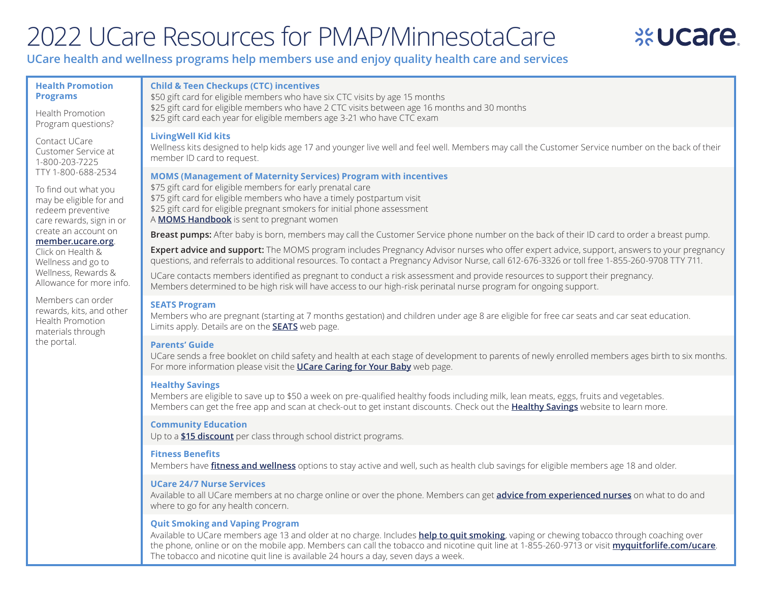# 2022 UCare Resources for PMAP/MinnesotaCare

## **SEUCA**

### **UCare health and wellness programs help members use and enjoy quality health care and services**

#### **Health Promotion Programs**

#### **Child & Teen Checkups (CTC) incentives**

Health Promotion Program questions?

Contact UCare Customer Service at 1-800-203-7225 TTY 1-800-688-2534

To find out what you may be eligible for and redeem preventive care rewards, sign in or create an account on

#### **[member.ucare.org](https://www.ucare.org/member-login)**.

Click on Health & Wellness and go to Wellness, Rewards & Allowance for more info.

Members can order rewards, kits, and other Health Promotion materials through the portal.

\$50 gift card for eligible members who have six CTC visits by age 15 months \$25 gift card for eligible members who have 2 CTC visits between age 16 months and 30 months \$25 gift card each year for eligible members age 3-21 who have CTC exam

#### **LivingWell Kid kits**

Wellness kits designed to help kids age 17 and younger live well and feel well. Members may call the Customer Service number on the back of their member ID card to request.

#### **MOMS (Management of Maternity Services) Program with incentives**

\$75 gift card for eligible members for early prenatal care \$75 gift card for eligible members who have a timely postpartum visit \$25 gift card for eligible pregnant smokers for initial phone assessment A **[MOMS Handbook](https://home.ucare.org/en-us/health-wellness/pregnancy-children-teens/moms-program/)** is sent to pregnant women

**Breast pumps:** After baby is born, members may call the Customer Service phone number on the back of their ID card to order a breast pump.

**Expert advice and support:** The MOMS program includes Pregnancy Advisor nurses who offer expert advice, support, answers to your pregnancy questions, and referrals to additional resources. To contact a Pregnancy Advisor Nurse, call 612-676-3326 or toll free 1-855-260-9708 TTY 711.

UCare contacts members identified as pregnant to conduct a risk assessment and provide resources to support their pregnancy. Members determined to be high risk will have access to our high-risk perinatal nurse program for ongoing support.

#### **SEATS Program**

Members who are pregnant (starting at 7 months gestation) and children under age 8 are eligible for free car seats and car seat education. Limits apply. Details are on the **[SEATS](https://home.ucare.org/en-us/health-wellness/pregnancy-children-teens/seats-program/)** web page.

#### **Parents' Guide**

UCare sends a free booklet on child safety and health at each stage of development to parents of newly enrolled members ages birth to six months. For more information please visit the **[UCare Caring for Your Baby](https://home.ucare.org/en-us/health-wellness/pregnancy-children-teens/parents/)** web page.

#### **Healthy Savings**

Members are eligible to save up to \$50 a week on pre-qualified healthy foods including milk, lean meats, eggs, fruits and vegetables. Members can get the free app and scan at check-out to get instant discounts. Check out the **[Healthy Savings](http://www.HealthySavings.com/ucare)** website to learn more.

#### **Community Education**

Up to a **[\\$15 discount](https://home.ucare.org/en-us/health-wellness/fitness-wellness/community-education-classes/)** per class through school district programs.

#### **Fitness Benefits**

Members have **[fitness and wellness](https://home.ucare.org/en-us/health-wellness/fitness-wellness/)** options to stay active and well, such as health club savings for eligible members age 18 and older.

#### **UCare 24/7 Nurse Services**

Available to all UCare members at no charge online or over the phone. Members can get **[advice from experienced nurses](https://home.ucare.org/en-us/health-wellness/newsletters-nurse-services/)** on what to do and where to go for any health concern.

#### **Quit Smoking and Vaping Program**

Available to UCare members age 13 and older at no charge. Includes **[help to quit smoking](https://home.ucare.org/en-us/health-wellness/health-management/quit-tobacco/)**, vaping or chewing tobacco through coaching over the phone, online or on the mobile app. Members can call the tobacco and nicotine quit line at 1-855-260-9713 or visit **[myquitforlife.com/ucare](http://myquitforlife.com/ucare)**. The tobacco and nicotine quit line is available 24 hours a day, seven days a week.